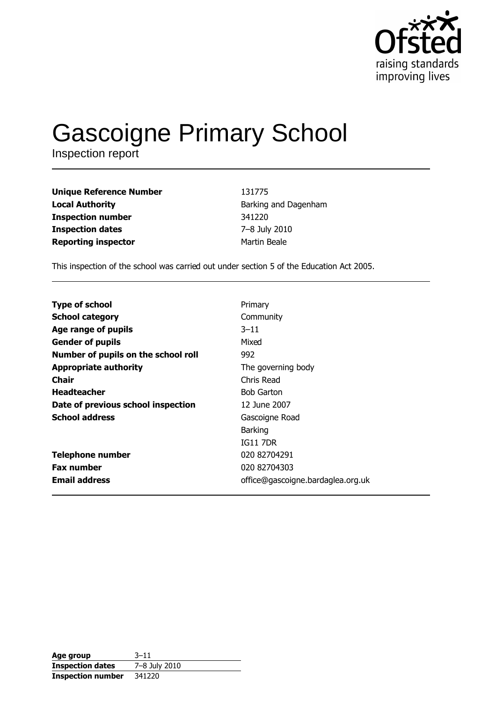

# **Gascoigne Primary School**

Inspection report

**Unique Reference Number Local Authority Inspection number Inspection dates Reporting inspector** 

131775 Barking and Dagenham 341220 7-8 July 2010 Martin Beale

This inspection of the school was carried out under section 5 of the Education Act 2005.

| <b>Type of school</b>               | Primary                           |
|-------------------------------------|-----------------------------------|
| <b>School category</b>              | Community                         |
| Age range of pupils                 | $3 - 11$                          |
| <b>Gender of pupils</b>             | Mixed                             |
| Number of pupils on the school roll | 992                               |
| <b>Appropriate authority</b>        | The governing body                |
| Chair                               | Chris Read                        |
| <b>Headteacher</b>                  | <b>Bob Garton</b>                 |
| Date of previous school inspection  | 12 June 2007                      |
| <b>School address</b>               | Gascoigne Road                    |
|                                     | <b>Barking</b>                    |
|                                     | <b>IG11 7DR</b>                   |
| <b>Telephone number</b>             | 020 82704291                      |
| <b>Fax number</b>                   | 020 82704303                      |
| <b>Email address</b>                | office@gascoigne.bardaglea.org.uk |

| Age group                | $3 - 11$      |
|--------------------------|---------------|
| <b>Inspection dates</b>  | 7-8 July 2010 |
| <b>Inspection number</b> | 341220        |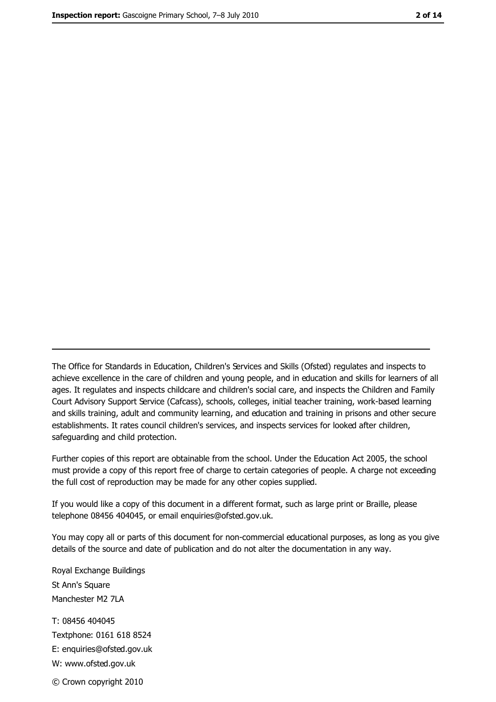The Office for Standards in Education, Children's Services and Skills (Ofsted) regulates and inspects to achieve excellence in the care of children and young people, and in education and skills for learners of all ages. It regulates and inspects childcare and children's social care, and inspects the Children and Family Court Advisory Support Service (Cafcass), schools, colleges, initial teacher training, work-based learning and skills training, adult and community learning, and education and training in prisons and other secure establishments. It rates council children's services, and inspects services for looked after children, safequarding and child protection.

Further copies of this report are obtainable from the school. Under the Education Act 2005, the school must provide a copy of this report free of charge to certain categories of people. A charge not exceeding the full cost of reproduction may be made for any other copies supplied.

If you would like a copy of this document in a different format, such as large print or Braille, please telephone 08456 404045, or email enquiries@ofsted.gov.uk.

You may copy all or parts of this document for non-commercial educational purposes, as long as you give details of the source and date of publication and do not alter the documentation in any way.

Royal Exchange Buildings St Ann's Square Manchester M2 7LA T: 08456 404045 Textphone: 0161 618 8524 E: enquiries@ofsted.gov.uk W: www.ofsted.gov.uk © Crown copyright 2010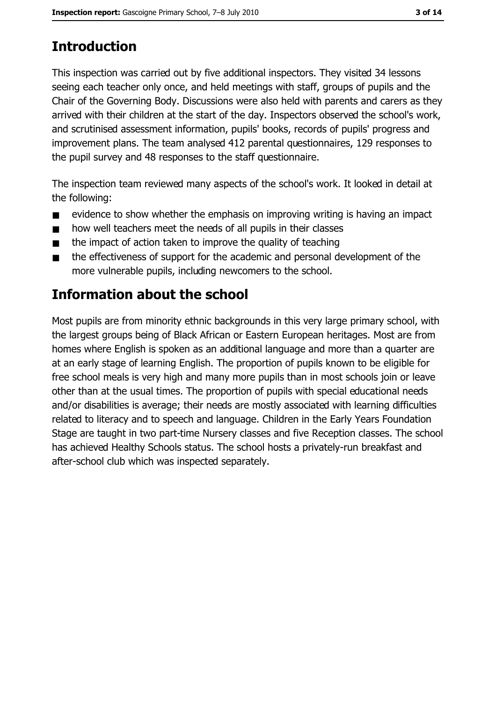# **Introduction**

This inspection was carried out by five additional inspectors. They visited 34 lessons seeing each teacher only once, and held meetings with staff, groups of pupils and the Chair of the Governing Body. Discussions were also held with parents and carers as they arrived with their children at the start of the day. Inspectors observed the school's work, and scrutinised assessment information, pupils' books, records of pupils' progress and improvement plans. The team analysed 412 parental questionnaires, 129 responses to the pupil survey and 48 responses to the staff questionnaire.

The inspection team reviewed many aspects of the school's work. It looked in detail at the following:

- evidence to show whether the emphasis on improving writing is having an impact  $\blacksquare$
- how well teachers meet the needs of all pupils in their classes  $\blacksquare$
- the impact of action taken to improve the quality of teaching  $\blacksquare$
- the effectiveness of support for the academic and personal development of the  $\blacksquare$ more vulnerable pupils, including newcomers to the school.

## **Information about the school**

Most pupils are from minority ethnic backgrounds in this very large primary school, with the largest groups being of Black African or Eastern European heritages. Most are from homes where English is spoken as an additional language and more than a quarter are at an early stage of learning English. The proportion of pupils known to be eligible for free school meals is very high and many more pupils than in most schools join or leave other than at the usual times. The proportion of pupils with special educational needs and/or disabilities is average; their needs are mostly associated with learning difficulties related to literacy and to speech and language. Children in the Early Years Foundation Stage are taught in two part-time Nursery classes and five Reception classes. The school has achieved Healthy Schools status. The school hosts a privately-run breakfast and after-school club which was inspected separately.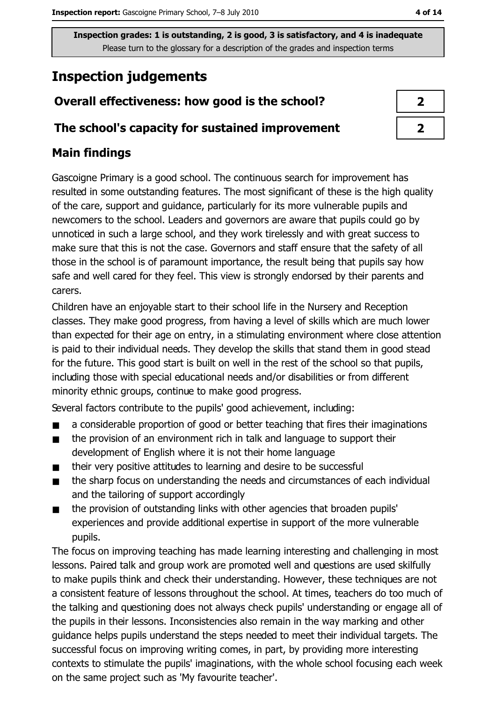## **Inspection judgements**

#### Overall effectiveness: how good is the school?

#### The school's capacity for sustained improvement

## **Main findings**

Gascoigne Primary is a good school. The continuous search for improvement has resulted in some outstanding features. The most significant of these is the high quality of the care, support and quidance, particularly for its more vulnerable pupils and newcomers to the school. Leaders and governors are aware that pupils could go by unnoticed in such a large school, and they work tirelessly and with great success to make sure that this is not the case. Governors and staff ensure that the safety of all those in the school is of paramount importance, the result being that pupils say how safe and well cared for they feel. This view is strongly endorsed by their parents and carers.

Children have an enjoyable start to their school life in the Nursery and Reception classes. They make good progress, from having a level of skills which are much lower than expected for their age on entry, in a stimulating environment where close attention is paid to their individual needs. They develop the skills that stand them in good stead for the future. This good start is built on well in the rest of the school so that pupils, including those with special educational needs and/or disabilities or from different minority ethnic groups, continue to make good progress.

Several factors contribute to the pupils' good achievement, including:

- a considerable proportion of good or better teaching that fires their imaginations  $\blacksquare$
- $\blacksquare$ the provision of an environment rich in talk and language to support their development of English where it is not their home language
- their very positive attitudes to learning and desire to be successful  $\blacksquare$
- the sharp focus on understanding the needs and circumstances of each individual  $\blacksquare$ and the tailoring of support accordingly
- the provision of outstanding links with other agencies that broaden pupils'  $\blacksquare$ experiences and provide additional expertise in support of the more vulnerable pupils.

The focus on improving teaching has made learning interesting and challenging in most lessons. Paired talk and group work are promoted well and questions are used skilfully to make pupils think and check their understanding. However, these techniques are not a consistent feature of lessons throughout the school. At times, teachers do too much of the talking and questioning does not always check pupils' understanding or engage all of the pupils in their lessons. Inconsistencies also remain in the way marking and other quidance helps pupils understand the steps needed to meet their individual targets. The successful focus on improving writing comes, in part, by providing more interesting contexts to stimulate the pupils' imaginations, with the whole school focusing each week on the same project such as 'My favourite teacher'.

| ↗ |  |
|---|--|
| ↗ |  |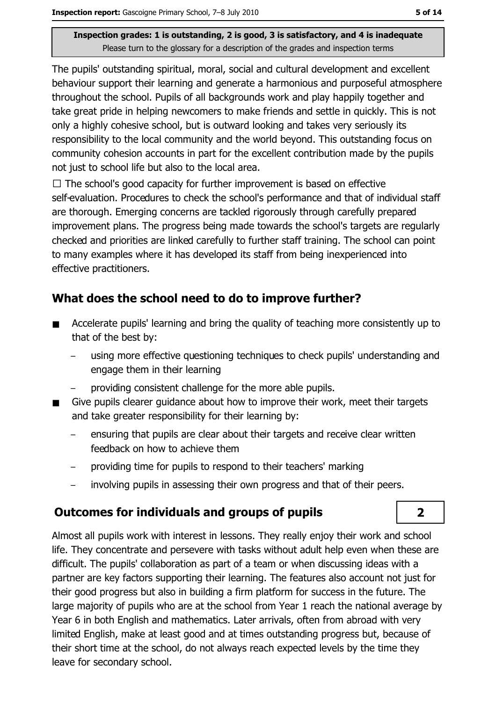The pupils' outstanding spiritual, moral, social and cultural development and excellent behaviour support their learning and generate a harmonious and purposeful atmosphere throughout the school. Pupils of all backgrounds work and play happily together and take great pride in helping newcomers to make friends and settle in quickly. This is not only a highly cohesive school, but is outward looking and takes very seriously its responsibility to the local community and the world beyond. This outstanding focus on community cohesion accounts in part for the excellent contribution made by the pupils not just to school life but also to the local area.

 $\Box$  The school's good capacity for further improvement is based on effective self-evaluation. Procedures to check the school's performance and that of individual staff are thorough. Emerging concerns are tackled rigorously through carefully prepared improvement plans. The progress being made towards the school's targets are regularly checked and priorities are linked carefully to further staff training. The school can point to many examples where it has developed its staff from being inexperienced into effective practitioners.

## What does the school need to do to improve further?

- Accelerate pupils' learning and bring the quality of teaching more consistently up to  $\blacksquare$ that of the best by:
	- using more effective questioning techniques to check pupils' understanding and engage them in their learning
	- providing consistent challenge for the more able pupils.
- Give pupils clearer quidance about how to improve their work, meet their targets  $\blacksquare$ and take greater responsibility for their learning by:
	- ensuring that pupils are clear about their targets and receive clear written feedback on how to achieve them
	- providing time for pupils to respond to their teachers' marking
	- involving pupils in assessing their own progress and that of their peers.

#### **Outcomes for individuals and groups of pupils**

Almost all pupils work with interest in lessons. They really enjoy their work and school life. They concentrate and persevere with tasks without adult help even when these are difficult. The pupils' collaboration as part of a team or when discussing ideas with a partner are key factors supporting their learning. The features also account not just for their good progress but also in building a firm platform for success in the future. The large majority of pupils who are at the school from Year 1 reach the national average by Year 6 in both English and mathematics. Later arrivals, often from abroad with very limited English, make at least good and at times outstanding progress but, because of their short time at the school, do not always reach expected levels by the time they leave for secondary school.

 $\overline{2}$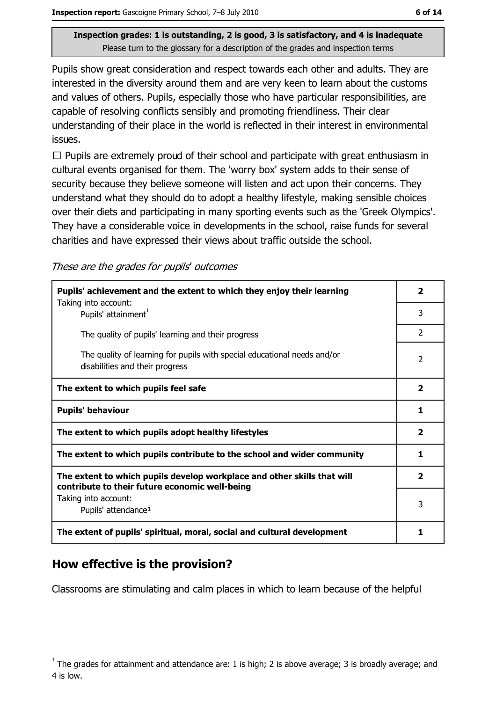Pupils show great consideration and respect towards each other and adults. They are interested in the diversity around them and are very keen to learn about the customs and values of others. Pupils, especially those who have particular responsibilities, are capable of resolving conflicts sensibly and promoting friendliness. Their clear understanding of their place in the world is reflected in their interest in environmental issues.

 $\Box$  Pupils are extremely proud of their school and participate with great enthusiasm in cultural events organised for them. The 'worry box' system adds to their sense of security because they believe someone will listen and act upon their concerns. They understand what they should do to adopt a healthy lifestyle, making sensible choices over their diets and participating in many sporting events such as the 'Greek Olympics'. They have a considerable voice in developments in the school, raise funds for several charities and have expressed their views about traffic outside the school.

These are the grades for pupils' outcomes

| Pupils' achievement and the extent to which they enjoy their learning                                                     | 2                       |
|---------------------------------------------------------------------------------------------------------------------------|-------------------------|
| Taking into account:<br>Pupils' attainment <sup>1</sup>                                                                   | 3                       |
| The quality of pupils' learning and their progress                                                                        | $\mathcal{P}$           |
| The quality of learning for pupils with special educational needs and/or<br>disabilities and their progress               | 2                       |
| The extent to which pupils feel safe                                                                                      | $\overline{\mathbf{2}}$ |
| <b>Pupils' behaviour</b>                                                                                                  | 1                       |
| The extent to which pupils adopt healthy lifestyles                                                                       | $\overline{\mathbf{2}}$ |
| The extent to which pupils contribute to the school and wider community                                                   | 1                       |
| The extent to which pupils develop workplace and other skills that will<br>contribute to their future economic well-being | $\overline{2}$          |
| Taking into account:<br>Pupils' attendance <sup>1</sup>                                                                   | 3                       |
| The extent of pupils' spiritual, moral, social and cultural development                                                   |                         |

#### How effective is the provision?

Classrooms are stimulating and calm places in which to learn because of the helpful

The grades for attainment and attendance are: 1 is high; 2 is above average; 3 is broadly average; and 4 is low.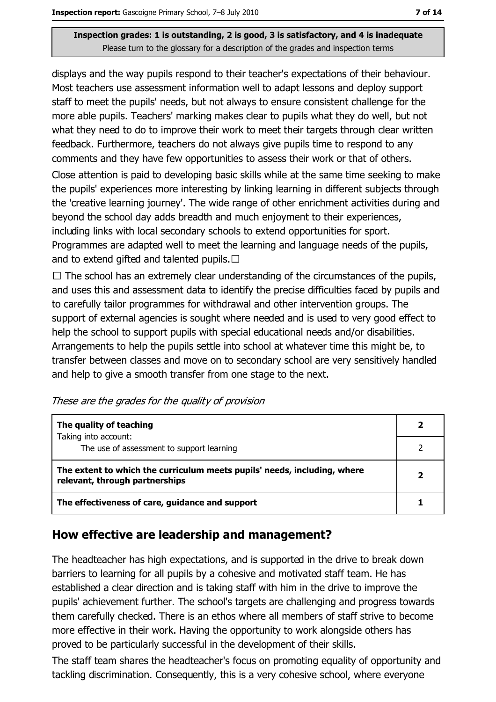displays and the way pupils respond to their teacher's expectations of their behaviour. Most teachers use assessment information well to adapt lessons and deploy support staff to meet the pupils' needs, but not always to ensure consistent challenge for the more able pupils. Teachers' marking makes clear to pupils what they do well, but not what they need to do to improve their work to meet their targets through clear written feedback. Furthermore, teachers do not always give pupils time to respond to any comments and they have few opportunities to assess their work or that of others.

Close attention is paid to developing basic skills while at the same time seeking to make the pupils' experiences more interesting by linking learning in different subjects through the 'creative learning journey'. The wide range of other enrichment activities during and beyond the school day adds breadth and much enjoyment to their experiences, including links with local secondary schools to extend opportunities for sport. Programmes are adapted well to meet the learning and language needs of the pupils, and to extend gifted and talented pupils.  $\Box$ 

 $\Box$  The school has an extremely clear understanding of the circumstances of the pupils, and uses this and assessment data to identify the precise difficulties faced by pupils and to carefully tailor programmes for withdrawal and other intervention groups. The support of external agencies is sought where needed and is used to very good effect to help the school to support pupils with special educational needs and/or disabilities. Arrangements to help the pupils settle into school at whatever time this might be, to transfer between classes and move on to secondary school are very sensitively handled and help to give a smooth transfer from one stage to the next.

These are the grades for the quality of provision

| The quality of teaching                                                                                    |  |
|------------------------------------------------------------------------------------------------------------|--|
| Taking into account:<br>The use of assessment to support learning                                          |  |
| The extent to which the curriculum meets pupils' needs, including, where<br>relevant, through partnerships |  |
| The effectiveness of care, guidance and support                                                            |  |

#### How effective are leadership and management?

The headteacher has high expectations, and is supported in the drive to break down barriers to learning for all pupils by a cohesive and motivated staff team. He has established a clear direction and is taking staff with him in the drive to improve the pupils' achievement further. The school's targets are challenging and progress towards them carefully checked. There is an ethos where all members of staff strive to become more effective in their work. Having the opportunity to work alongside others has proved to be particularly successful in the development of their skills.

The staff team shares the headteacher's focus on promoting equality of opportunity and tackling discrimination. Consequently, this is a very cohesive school, where everyone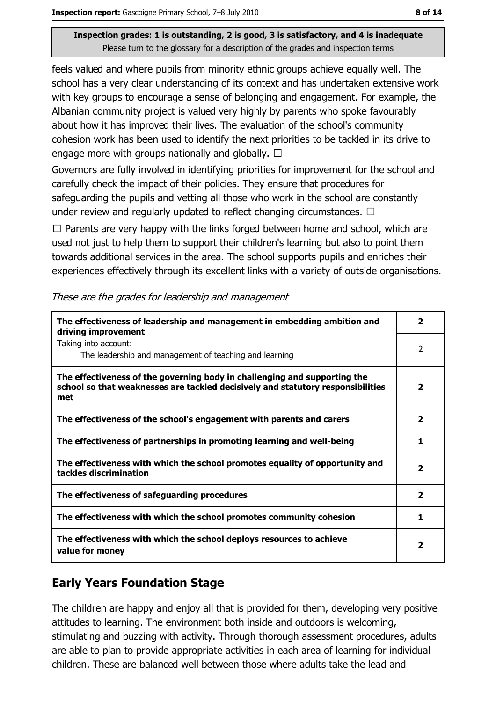feels valued and where pupils from minority ethnic groups achieve equally well. The school has a very clear understanding of its context and has undertaken extensive work with key groups to encourage a sense of belonging and engagement. For example, the Albanian community project is valued very highly by parents who spoke favourably about how it has improved their lives. The evaluation of the school's community cohesion work has been used to identify the next priorities to be tackled in its drive to engage more with groups nationally and globally.  $\Box$ 

Governors are fully involved in identifying priorities for improvement for the school and carefully check the impact of their policies. They ensure that procedures for safeguarding the pupils and vetting all those who work in the school are constantly under review and regularly updated to reflect changing circumstances.  $\Box$ 

 $\Box$  Parents are very happy with the links forged between home and school, which are used not just to help them to support their children's learning but also to point them towards additional services in the area. The school supports pupils and enriches their experiences effectively through its excellent links with a variety of outside organisations.

| The effectiveness of leadership and management in embedding ambition and<br>driving improvement                                                                     | $\overline{\mathbf{2}}$ |
|---------------------------------------------------------------------------------------------------------------------------------------------------------------------|-------------------------|
| Taking into account:<br>The leadership and management of teaching and learning                                                                                      | 2                       |
| The effectiveness of the governing body in challenging and supporting the<br>school so that weaknesses are tackled decisively and statutory responsibilities<br>met | $\overline{\mathbf{2}}$ |
| The effectiveness of the school's engagement with parents and carers                                                                                                | $\overline{\mathbf{2}}$ |
| The effectiveness of partnerships in promoting learning and well-being                                                                                              | 1                       |
| The effectiveness with which the school promotes equality of opportunity and<br>tackles discrimination                                                              | $\overline{\mathbf{2}}$ |
| The effectiveness of safeguarding procedures                                                                                                                        | $\overline{\mathbf{2}}$ |
| The effectiveness with which the school promotes community cohesion                                                                                                 | 1.                      |
| The effectiveness with which the school deploys resources to achieve<br>value for money                                                                             | 2                       |

These are the grades for leadership and management

#### **Early Years Foundation Stage**

The children are happy and enjoy all that is provided for them, developing very positive attitudes to learning. The environment both inside and outdoors is welcoming, stimulating and buzzing with activity. Through thorough assessment procedures, adults are able to plan to provide appropriate activities in each area of learning for individual children. These are balanced well between those where adults take the lead and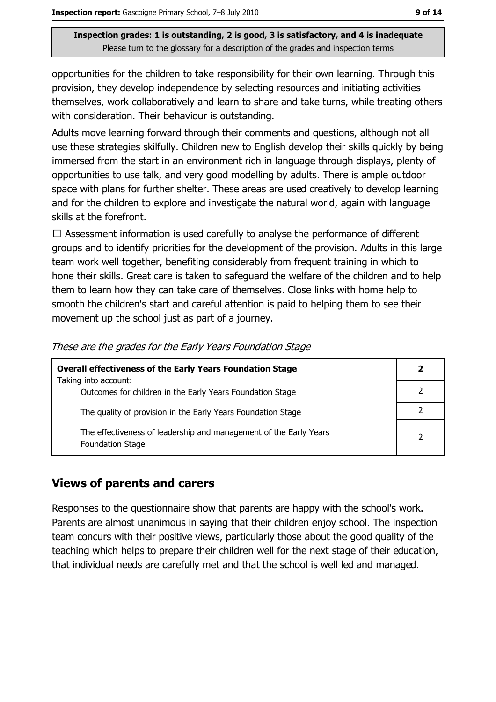opportunities for the children to take responsibility for their own learning. Through this provision, they develop independence by selecting resources and initiating activities themselves, work collaboratively and learn to share and take turns, while treating others with consideration. Their behaviour is outstanding.

Adults move learning forward through their comments and questions, although not all use these strategies skilfully. Children new to English develop their skills guickly by being immersed from the start in an environment rich in language through displays, plenty of opportunities to use talk, and very good modelling by adults. There is ample outdoor space with plans for further shelter. These areas are used creatively to develop learning and for the children to explore and investigate the natural world, again with language skills at the forefront.

 $\Box$  Assessment information is used carefully to analyse the performance of different groups and to identify priorities for the development of the provision. Adults in this large team work well together, benefiting considerably from frequent training in which to hone their skills. Great care is taken to safeguard the welfare of the children and to help them to learn how they can take care of themselves. Close links with home help to smooth the children's start and careful attention is paid to helping them to see their movement up the school just as part of a journey.

| <b>Overall effectiveness of the Early Years Foundation Stage</b><br>Taking into account:     | 2 |
|----------------------------------------------------------------------------------------------|---|
| Outcomes for children in the Early Years Foundation Stage                                    |   |
| The quality of provision in the Early Years Foundation Stage                                 |   |
| The effectiveness of leadership and management of the Early Years<br><b>Foundation Stage</b> | 2 |

These are the grades for the Early Years Foundation Stage

#### **Views of parents and carers**

Responses to the questionnaire show that parents are happy with the school's work. Parents are almost unanimous in saying that their children enjoy school. The inspection team concurs with their positive views, particularly those about the good quality of the teaching which helps to prepare their children well for the next stage of their education, that individual needs are carefully met and that the school is well led and managed.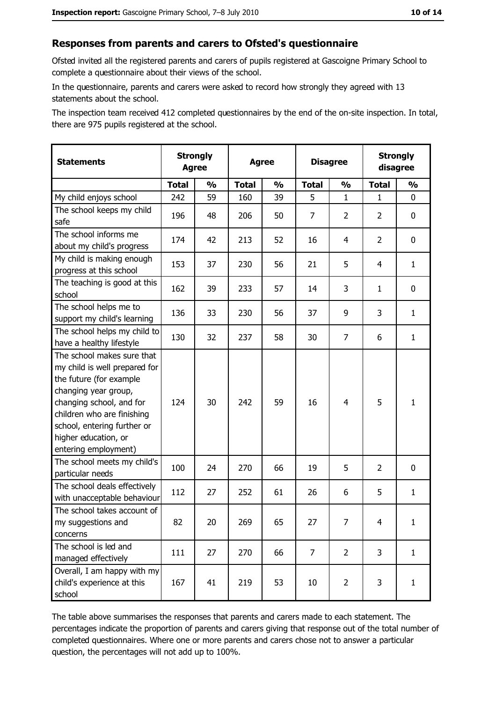#### Responses from parents and carers to Ofsted's questionnaire

Ofsted invited all the registered parents and carers of pupils registered at Gascoigne Primary School to complete a questionnaire about their views of the school.

In the questionnaire, parents and carers were asked to record how strongly they agreed with 13 statements about the school.

The inspection team received 412 completed questionnaires by the end of the on-site inspection. In total, there are 975 pupils registered at the school.

| <b>Statements</b>                                                                                                                                                                                                                                       | <b>Strongly</b><br><b>Agree</b> |               | <b>Agree</b> |               | <b>Disagree</b> |                | <b>Strongly</b><br>disagree |               |
|---------------------------------------------------------------------------------------------------------------------------------------------------------------------------------------------------------------------------------------------------------|---------------------------------|---------------|--------------|---------------|-----------------|----------------|-----------------------------|---------------|
|                                                                                                                                                                                                                                                         | <b>Total</b>                    | $\frac{1}{2}$ | <b>Total</b> | $\frac{1}{2}$ | <b>Total</b>    | $\frac{0}{0}$  | <b>Total</b>                | $\frac{1}{2}$ |
| My child enjoys school                                                                                                                                                                                                                                  | 242                             | 59            | 160          | 39            | 5               | $\mathbf 1$    | $\mathbf{1}$                | 0             |
| The school keeps my child<br>safe                                                                                                                                                                                                                       | 196                             | 48            | 206          | 50            | $\overline{7}$  | $\overline{2}$ | $\overline{2}$              | 0             |
| The school informs me<br>about my child's progress                                                                                                                                                                                                      | 174                             | 42            | 213          | 52            | 16              | $\overline{4}$ | $\overline{2}$              | 0             |
| My child is making enough<br>progress at this school                                                                                                                                                                                                    | 153                             | 37            | 230          | 56            | 21              | 5              | 4                           | $\mathbf{1}$  |
| The teaching is good at this<br>school                                                                                                                                                                                                                  | 162                             | 39            | 233          | 57            | 14              | 3              | $\mathbf{1}$                | 0             |
| The school helps me to<br>support my child's learning                                                                                                                                                                                                   | 136                             | 33            | 230          | 56            | 37              | 9              | 3                           | $\mathbf{1}$  |
| The school helps my child to<br>have a healthy lifestyle                                                                                                                                                                                                | 130                             | 32            | 237          | 58            | 30              | 7              | 6                           | $\mathbf{1}$  |
| The school makes sure that<br>my child is well prepared for<br>the future (for example<br>changing year group,<br>changing school, and for<br>children who are finishing<br>school, entering further or<br>higher education, or<br>entering employment) | 124                             | 30            | 242          | 59            | 16              | 4              | 5                           | $\mathbf{1}$  |
| The school meets my child's<br>particular needs                                                                                                                                                                                                         | 100                             | 24            | 270          | 66            | 19              | 5              | $\overline{2}$              | 0             |
| The school deals effectively<br>with unacceptable behaviour                                                                                                                                                                                             | 112                             | 27            | 252          | 61            | 26              | 6              | 5                           | $\mathbf{1}$  |
| The school takes account of<br>my suggestions and<br>concerns                                                                                                                                                                                           | 82                              | 20            | 269          | 65            | 27              | 7              | 4                           | $\mathbf{1}$  |
| The school is led and<br>managed effectively                                                                                                                                                                                                            | 111                             | 27            | 270          | 66            | $\overline{7}$  | $\overline{2}$ | 3                           | $\mathbf{1}$  |
| Overall, I am happy with my<br>child's experience at this<br>school                                                                                                                                                                                     | 167                             | 41            | 219          | 53            | 10              | $\overline{2}$ | 3                           | $\mathbf{1}$  |

The table above summarises the responses that parents and carers made to each statement. The percentages indicate the proportion of parents and carers giving that response out of the total number of completed questionnaires. Where one or more parents and carers chose not to answer a particular question, the percentages will not add up to 100%.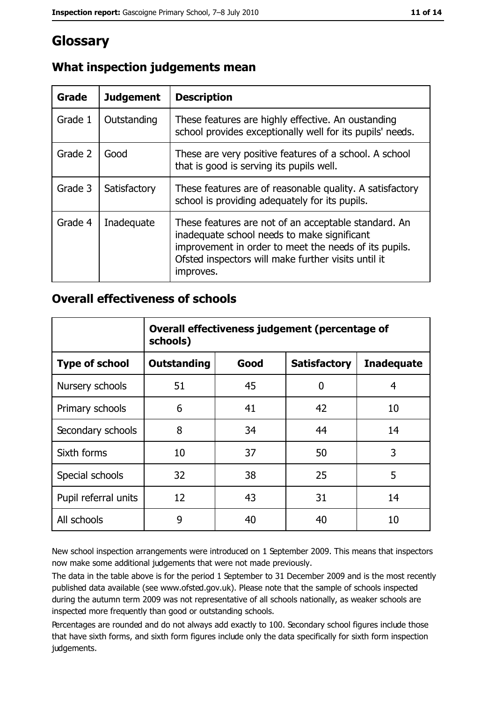## Glossary

| Grade   | <b>Judgement</b> | <b>Description</b>                                                                                                                                                                                                               |
|---------|------------------|----------------------------------------------------------------------------------------------------------------------------------------------------------------------------------------------------------------------------------|
| Grade 1 | Outstanding      | These features are highly effective. An oustanding<br>school provides exceptionally well for its pupils' needs.                                                                                                                  |
| Grade 2 | Good             | These are very positive features of a school. A school<br>that is good is serving its pupils well.                                                                                                                               |
| Grade 3 | Satisfactory     | These features are of reasonable quality. A satisfactory<br>school is providing adequately for its pupils.                                                                                                                       |
| Grade 4 | Inadequate       | These features are not of an acceptable standard. An<br>inadequate school needs to make significant<br>improvement in order to meet the needs of its pupils.<br>Ofsted inspectors will make further visits until it<br>improves. |

## What inspection judgements mean

#### **Overall effectiveness of schools**

|                       | Overall effectiveness judgement (percentage of<br>schools) |      |                     |                   |
|-----------------------|------------------------------------------------------------|------|---------------------|-------------------|
| <b>Type of school</b> | <b>Outstanding</b>                                         | Good | <b>Satisfactory</b> | <b>Inadequate</b> |
| Nursery schools       | 51                                                         | 45   | 0                   | 4                 |
| Primary schools       | 6                                                          | 41   | 42                  | 10                |
| Secondary schools     | 8                                                          | 34   | 44                  | 14                |
| Sixth forms           | 10                                                         | 37   | 50                  | 3                 |
| Special schools       | 32                                                         | 38   | 25                  | 5                 |
| Pupil referral units  | 12                                                         | 43   | 31                  | 14                |
| All schools           | 9                                                          | 40   | 40                  | 10                |

New school inspection arrangements were introduced on 1 September 2009. This means that inspectors now make some additional judgements that were not made previously.

The data in the table above is for the period 1 September to 31 December 2009 and is the most recently published data available (see www.ofsted.gov.uk). Please note that the sample of schools inspected during the autumn term 2009 was not representative of all schools nationally, as weaker schools are inspected more frequently than good or outstanding schools.

Percentages are rounded and do not always add exactly to 100. Secondary school figures include those that have sixth forms, and sixth form figures include only the data specifically for sixth form inspection judgements.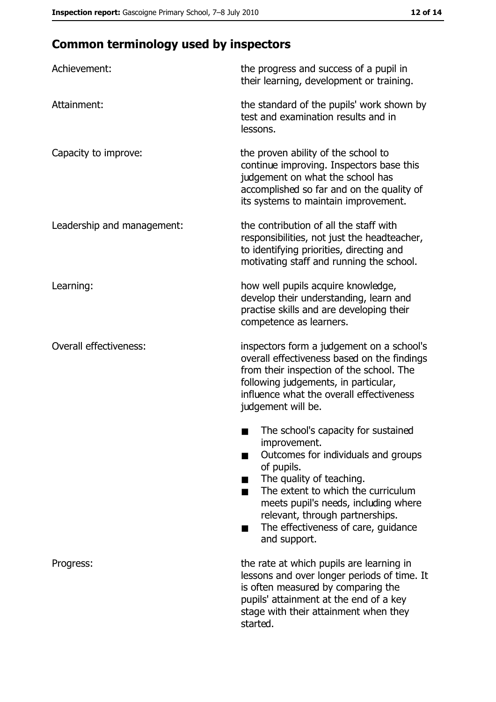# **Common terminology used by inspectors**

| Achievement:                  | the progress and success of a pupil in<br>their learning, development or training.                                                                                                                                                                                                                           |
|-------------------------------|--------------------------------------------------------------------------------------------------------------------------------------------------------------------------------------------------------------------------------------------------------------------------------------------------------------|
| Attainment:                   | the standard of the pupils' work shown by<br>test and examination results and in<br>lessons.                                                                                                                                                                                                                 |
| Capacity to improve:          | the proven ability of the school to<br>continue improving. Inspectors base this<br>judgement on what the school has<br>accomplished so far and on the quality of<br>its systems to maintain improvement.                                                                                                     |
| Leadership and management:    | the contribution of all the staff with<br>responsibilities, not just the headteacher,<br>to identifying priorities, directing and<br>motivating staff and running the school.                                                                                                                                |
| Learning:                     | how well pupils acquire knowledge,<br>develop their understanding, learn and<br>practise skills and are developing their<br>competence as learners.                                                                                                                                                          |
| <b>Overall effectiveness:</b> | inspectors form a judgement on a school's<br>overall effectiveness based on the findings<br>from their inspection of the school. The<br>following judgements, in particular,<br>influence what the overall effectiveness<br>judgement will be.                                                               |
|                               | The school's capacity for sustained<br>improvement.<br>Outcomes for individuals and groups<br>of pupils.<br>The quality of teaching.<br>The extent to which the curriculum<br>meets pupil's needs, including where<br>relevant, through partnerships.<br>The effectiveness of care, guidance<br>and support. |
| Progress:                     | the rate at which pupils are learning in<br>lessons and over longer periods of time. It<br>is often measured by comparing the<br>pupils' attainment at the end of a key<br>stage with their attainment when they<br>started.                                                                                 |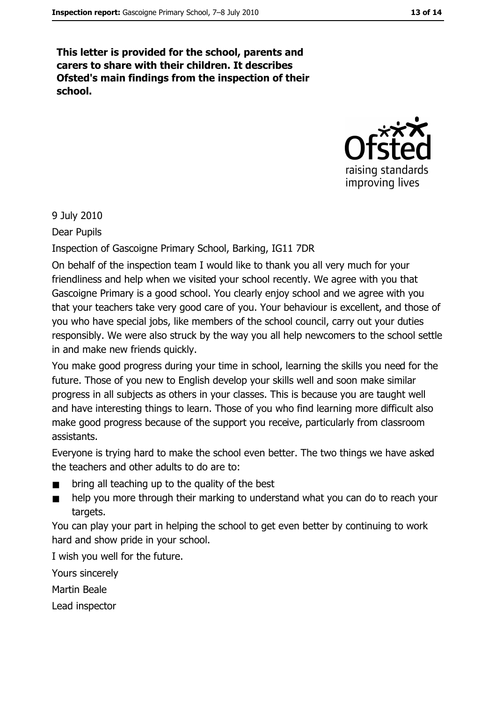This letter is provided for the school, parents and carers to share with their children. It describes Ofsted's main findings from the inspection of their school.



9 July 2010

Dear Pupils

Inspection of Gascoigne Primary School, Barking, IG11 7DR

On behalf of the inspection team I would like to thank you all very much for your friendliness and help when we visited your school recently. We agree with you that Gascoigne Primary is a good school. You clearly enjoy school and we agree with you that your teachers take very good care of you. Your behaviour is excellent, and those of you who have special jobs, like members of the school council, carry out your duties responsibly. We were also struck by the way you all help newcomers to the school settle in and make new friends quickly.

You make good progress during your time in school, learning the skills you need for the future. Those of you new to English develop your skills well and soon make similar progress in all subjects as others in your classes. This is because you are taught well and have interesting things to learn. Those of you who find learning more difficult also make good progress because of the support you receive, particularly from classroom assistants.

Evervone is trying hard to make the school even better. The two things we have asked the teachers and other adults to do are to:

- bring all teaching up to the quality of the best
- help you more through their marking to understand what you can do to reach your targets.

You can play your part in helping the school to get even better by continuing to work hard and show pride in your school.

I wish you well for the future.

Yours sincerely

Martin Beale

Lead inspector